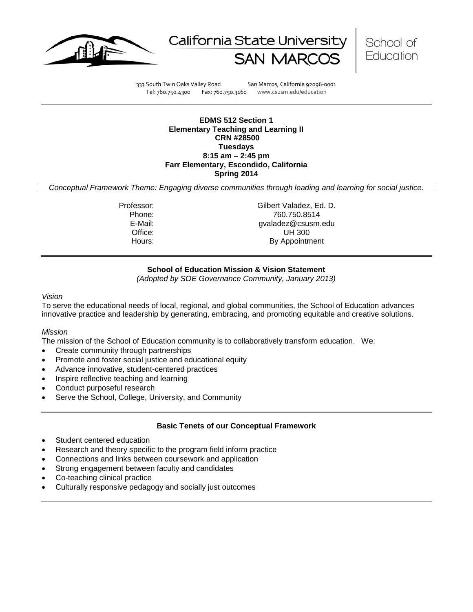





333 South Twin Oaks Valley Road San Marcos, California 92096-0001 Tel: 760.750.4300 Fax: 760.750.3160 www.csusm.edu/education

**EDMS 512 Section 1 Elementary Teaching and Learning II CRN #28500 Tuesdays 8:15 am – 2:45 pm Farr Elementary, Escondido, California Spring 2014** 

*Conceptual Framework Theme: Engaging diverse communities through leading and learning for social justice.*

Professor: Gilbert Valadez, Ed. D. Phone: 760.750.8514<br>E-Mail: 700.750.8514<br>Gyaladez@csusm. gvaladez@csusm.edu Office: UH 300 Hours: By Appointment

## **School of Education Mission & Vision Statement**

*(Adopted by SOE Governance Community, January 2013)*

#### *Vision*

To serve the educational needs of local, regional, and global communities, the School of Education advances innovative practice and leadership by generating, embracing, and promoting equitable and creative solutions.

## *Mission*

The mission of the School of Education community is to collaboratively transform education. We:

- Create community through partnerships
- Promote and foster social justice and educational equity
- Advance innovative, student-centered practices
- Inspire reflective teaching and learning
- Conduct purposeful research
- Serve the School, College, University, and Community

### **Basic Tenets of our Conceptual Framework**

- Student centered education
- Research and theory specific to the program field inform practice
- Connections and links between coursework and application
- Strong engagement between faculty and candidates
- Co-teaching clinical practice
- Culturally responsive pedagogy and socially just outcomes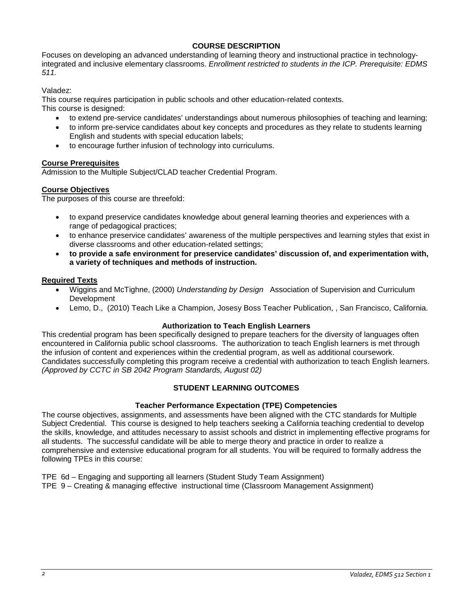## **COURSE DESCRIPTION**

Focuses on developing an advanced understanding of learning theory and instructional practice in technologyintegrated and inclusive elementary classrooms. *Enrollment restricted to students in the ICP. Prerequisite: EDMS 511.*

Valadez:

This course requires participation in public schools and other education-related contexts.

This course is designed:

- to extend pre-service candidates' understandings about numerous philosophies of teaching and learning;
- to inform pre-service candidates about key concepts and procedures as they relate to students learning English and students with special education labels;
- to encourage further infusion of technology into curriculums.

## **Course Prerequisites**

Admission to the Multiple Subject/CLAD teacher Credential Program.

## **Course Objectives**

The purposes of this course are threefold:

- to expand preservice candidates knowledge about general learning theories and experiences with a range of pedagogical practices;
- to enhance preservice candidates' awareness of the multiple perspectives and learning styles that exist in diverse classrooms and other education-related settings;
- **to provide a safe environment for preservice candidates' discussion of, and experimentation with, a variety of techniques and methods of instruction.**

### **Required Texts**

- Wiggins and McTighne, (2000) *Understanding by Design* Association of Supervision and Curriculum Development
- Lemo, D., (2010) Teach Like a Champion, Josesy Boss Teacher Publication, , San Francisco, California.

### **Authorization to Teach English Learners**

This credential program has been specifically designed to prepare teachers for the diversity of languages often encountered in California public school classrooms. The authorization to teach English learners is met through the infusion of content and experiences within the credential program, as well as additional coursework. Candidates successfully completing this program receive a credential with authorization to teach English learners. *(Approved by CCTC in SB 2042 Program Standards, August 02)*

## **STUDENT LEARNING OUTCOMES**

### **Teacher Performance Expectation (TPE) Competencies**

The course objectives, assignments, and assessments have been aligned with the CTC standards for Multiple Subject Credential. This course is designed to help teachers seeking a California teaching credential to develop the skills, knowledge, and attitudes necessary to assist schools and district in implementing effective programs for all students. The successful candidate will be able to merge theory and practice in order to realize a comprehensive and extensive educational program for all students. You will be required to formally address the following TPEs in this course:

TPE 6d – Engaging and supporting all learners (Student Study Team Assignment)

TPE 9 – Creating & managing effective instructional time (Classroom Management Assignment)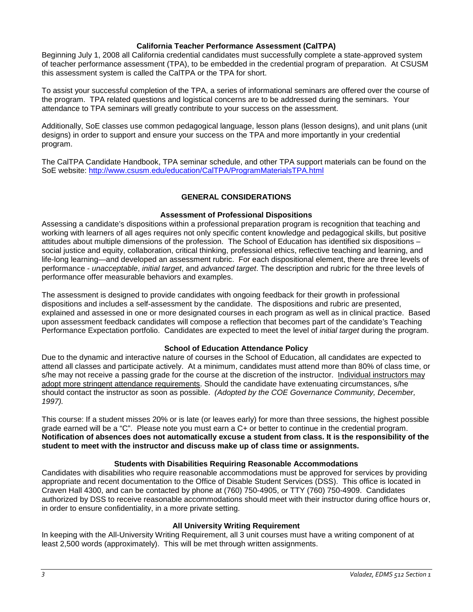### **California Teacher Performance Assessment (CalTPA)**

Beginning July 1, 2008 all California credential candidates must successfully complete a state-approved system of teacher performance assessment (TPA), to be embedded in the credential program of preparation. At CSUSM this assessment system is called the CalTPA or the TPA for short.

To assist your successful completion of the TPA, a series of informational seminars are offered over the course of the program. TPA related questions and logistical concerns are to be addressed during the seminars. Your attendance to TPA seminars will greatly contribute to your success on the assessment.

Additionally, SoE classes use common pedagogical language, lesson plans (lesson designs), and unit plans (unit designs) in order to support and ensure your success on the TPA and more importantly in your credential program.

The CalTPA Candidate Handbook, TPA seminar schedule, and other TPA support materials can be found on the SoE website: <http://www.csusm.edu/education/CalTPA/ProgramMaterialsTPA.html>

## **GENERAL CONSIDERATIONS**

### **Assessment of Professional Dispositions**

Assessing a candidate's dispositions within a professional preparation program is recognition that teaching and working with learners of all ages requires not only specific content knowledge and pedagogical skills, but positive attitudes about multiple dimensions of the profession. The School of Education has identified six dispositions – social justice and equity, collaboration, critical thinking, professional ethics, reflective teaching and learning, and life-long learning—and developed an assessment rubric. For each dispositional element, there are three levels of performance - *unacceptable*, *initial target*, and *advanced target*. The description and rubric for the three levels of performance offer measurable behaviors and examples.

The assessment is designed to provide candidates with ongoing feedback for their growth in professional dispositions and includes a self-assessment by the candidate. The dispositions and rubric are presented, explained and assessed in one or more designated courses in each program as well as in clinical practice. Based upon assessment feedback candidates will compose a reflection that becomes part of the candidate's Teaching Performance Expectation portfolio. Candidates are expected to meet the level of *initial target* during the program.

### **School of Education Attendance Policy**

Due to the dynamic and interactive nature of courses in the School of Education, all candidates are expected to attend all classes and participate actively. At a minimum, candidates must attend more than 80% of class time, or s/he may not receive a passing grade for the course at the discretion of the instructor. Individual instructors may adopt more stringent attendance requirements. Should the candidate have extenuating circumstances, s/he should contact the instructor as soon as possible. *(Adopted by the COE Governance Community, December, 1997).*

This course: If a student misses 20% or is late (or leaves early) for more than three sessions, the highest possible grade earned will be a "C". Please note you must earn a C+ or better to continue in the credential program. **Notification of absences does not automatically excuse a student from class. It is the responsibility of the student to meet with the instructor and discuss make up of class time or assignments.**

### **Students with Disabilities Requiring Reasonable Accommodations**

Candidates with disabilities who require reasonable accommodations must be approved for services by providing appropriate and recent documentation to the Office of Disable Student Services (DSS). This office is located in Craven Hall 4300, and can be contacted by phone at (760) 750-4905, or TTY (760) 750-4909. Candidates authorized by DSS to receive reasonable accommodations should meet with their instructor during office hours or, in order to ensure confidentiality, in a more private setting.

### **All University Writing Requirement**

In keeping with the All-University Writing Requirement, all 3 unit courses must have a writing component of at least 2,500 words (approximately). This will be met through written assignments.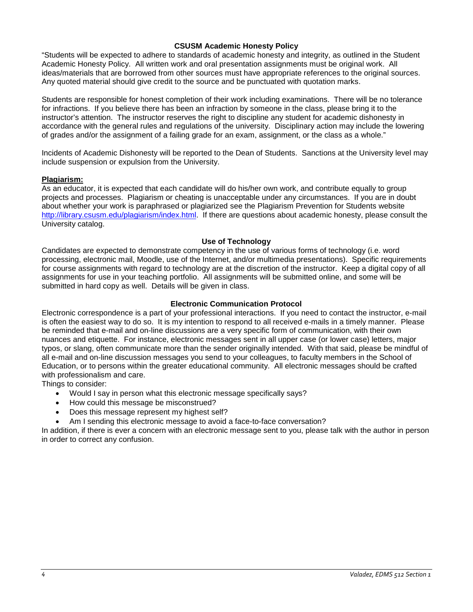## **CSUSM Academic Honesty Policy**

"Students will be expected to adhere to standards of academic honesty and integrity, as outlined in the Student Academic Honesty Policy. All written work and oral presentation assignments must be original work. All ideas/materials that are borrowed from other sources must have appropriate references to the original sources. Any quoted material should give credit to the source and be punctuated with quotation marks.

Students are responsible for honest completion of their work including examinations. There will be no tolerance for infractions. If you believe there has been an infraction by someone in the class, please bring it to the instructor's attention. The instructor reserves the right to discipline any student for academic dishonesty in accordance with the general rules and regulations of the university. Disciplinary action may include the lowering of grades and/or the assignment of a failing grade for an exam, assignment, or the class as a whole."

Incidents of Academic Dishonesty will be reported to the Dean of Students. Sanctions at the University level may include suspension or expulsion from the University.

### **Plagiarism:**

As an educator, it is expected that each candidate will do his/her own work, and contribute equally to group projects and processes. Plagiarism or cheating is unacceptable under any circumstances. If you are in doubt about whether your work is paraphrased or plagiarized see the Plagiarism Prevention for Students website [http://library.csusm.edu/plagiarism/index.html.](http://library.csusm.edu/plagiarism/index.html) If there are questions about academic honesty, please consult the University catalog.

### **Use of Technology**

Candidates are expected to demonstrate competency in the use of various forms of technology (i.e. word processing, electronic mail, Moodle, use of the Internet, and/or multimedia presentations). Specific requirements for course assignments with regard to technology are at the discretion of the instructor. Keep a digital copy of all assignments for use in your teaching portfolio. All assignments will be submitted online, and some will be submitted in hard copy as well. Details will be given in class.

## **Electronic Communication Protocol**

Electronic correspondence is a part of your professional interactions. If you need to contact the instructor, e-mail is often the easiest way to do so. It is my intention to respond to all received e-mails in a timely manner. Please be reminded that e-mail and on-line discussions are a very specific form of communication, with their own nuances and etiquette. For instance, electronic messages sent in all upper case (or lower case) letters, major typos, or slang, often communicate more than the sender originally intended. With that said, please be mindful of all e-mail and on-line discussion messages you send to your colleagues, to faculty members in the School of Education, or to persons within the greater educational community. All electronic messages should be crafted with professionalism and care.

Things to consider:

- Would I say in person what this electronic message specifically says?
- How could this message be misconstrued?
- Does this message represent my highest self?
- Am I sending this electronic message to avoid a face-to-face conversation?

In addition, if there is ever a concern with an electronic message sent to you, please talk with the author in person in order to correct any confusion.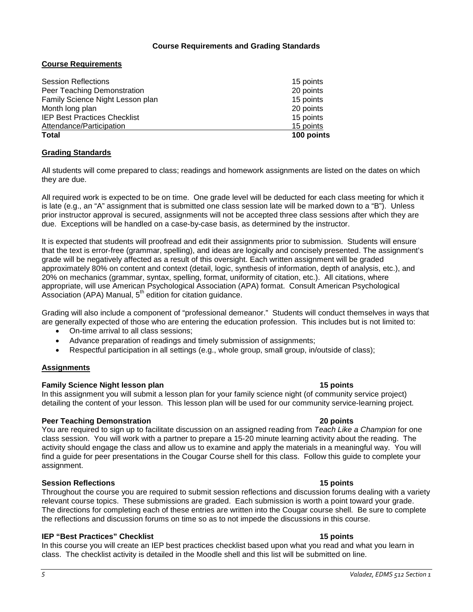## **Course Requirements and Grading Standards**

## **Course Requirements**

| <b>Total</b>                        | 100 points |
|-------------------------------------|------------|
| Attendance/Participation            | 15 points  |
| <b>IEP Best Practices Checklist</b> | 15 points  |
| Month long plan                     | 20 points  |
| Family Science Night Lesson plan    | 15 points  |
| Peer Teaching Demonstration         | 20 points  |
| <b>Session Reflections</b>          | 15 points  |

## **Grading Standards**

All students will come prepared to class; readings and homework assignments are listed on the dates on which they are due.

All required work is expected to be on time. One grade level will be deducted for each class meeting for which it is late (e.g., an "A" assignment that is submitted one class session late will be marked down to a "B"). Unless prior instructor approval is secured, assignments will not be accepted three class sessions after which they are due. Exceptions will be handled on a case-by-case basis, as determined by the instructor.

It is expected that students will proofread and edit their assignments prior to submission. Students will ensure that the text is error-free (grammar, spelling), and ideas are logically and concisely presented. The assignment's grade will be negatively affected as a result of this oversight. Each written assignment will be graded approximately 80% on content and context (detail, logic, synthesis of information, depth of analysis, etc.), and 20% on mechanics (grammar, syntax, spelling, format, uniformity of citation, etc.). All citations, where appropriate, will use American Psychological Association (APA) format. Consult American Psychological Association (APA) Manual,  $5<sup>th</sup>$  edition for citation guidance.

Grading will also include a component of "professional demeanor." Students will conduct themselves in ways that are generally expected of those who are entering the education profession. This includes but is not limited to:

- On-time arrival to all class sessions;
- Advance preparation of readings and timely submission of assignments;
- Respectful participation in all settings (e.g., whole group, small group, in/outside of class);

### **Assignments**

### **Family Science Night lesson plan 15 points**

In this assignment you will submit a lesson plan for your family science night (of community service project) detailing the content of your lesson. This lesson plan will be used for our community service-learning project.

### **Peer Teaching Demonstration 20 points**

You are required to sign up to facilitate discussion on an assigned reading from *Teach Like a Champion* for one class session. You will work with a partner to prepare a 15-20 minute learning activity about the reading. The activity should engage the class and allow us to examine and apply the materials in a meaningful way. You will find a guide for peer presentations in the Cougar Course shell for this class. Follow this guide to complete your assignment.

## **Session Reflections 15 points**

Throughout the course you are required to submit session reflections and discussion forums dealing with a variety relevant course topics. These submissions are graded. Each submission is worth a point toward your grade. The directions for completing each of these entries are written into the Cougar course shell. Be sure to complete the reflections and discussion forums on time so as to not impede the discussions in this course.

## **IEP "Best Practices" Checklist 15 points**

In this course you will create an IEP best practices checklist based upon what you read and what you learn in class. The checklist activity is detailed in the Moodle shell and this list will be submitted on line.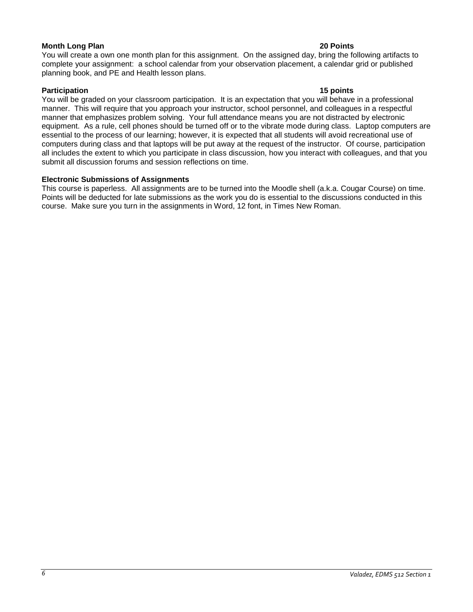## **Month Long Plan 20 Points**

You will create a own one month plan for this assignment. On the assigned day, bring the following artifacts to complete your assignment: a school calendar from your observation placement, a calendar grid or published planning book, and PE and Health lesson plans.

## **Participation 15 points**

You will be graded on your classroom participation. It is an expectation that you will behave in a professional manner. This will require that you approach your instructor, school personnel, and colleagues in a respectful manner that emphasizes problem solving. Your full attendance means you are not distracted by electronic equipment. As a rule, cell phones should be turned off or to the vibrate mode during class. Laptop computers are essential to the process of our learning; however, it is expected that all students will avoid recreational use of computers during class and that laptops will be put away at the request of the instructor. Of course, participation all includes the extent to which you participate in class discussion, how you interact with colleagues, and that you submit all discussion forums and session reflections on time.

## **Electronic Submissions of Assignments**

This course is paperless. All assignments are to be turned into the Moodle shell (a.k.a. Cougar Course) on time. Points will be deducted for late submissions as the work you do is essential to the discussions conducted in this course. Make sure you turn in the assignments in Word, 12 font, in Times New Roman.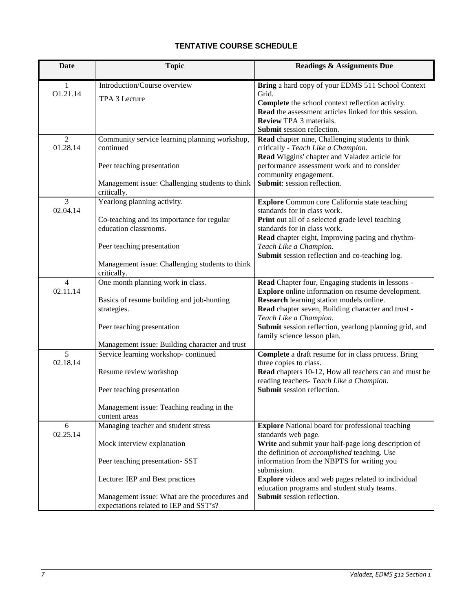# **TENTATIVE COURSE SCHEDULE**

| <b>Date</b>                | <b>Topic</b>                                                                                                                                                                  | <b>Readings &amp; Assignments Due</b>                                                                                                                                                                                                                                                                                              |
|----------------------------|-------------------------------------------------------------------------------------------------------------------------------------------------------------------------------|------------------------------------------------------------------------------------------------------------------------------------------------------------------------------------------------------------------------------------------------------------------------------------------------------------------------------------|
| 1<br>O1.21.14              | Introduction/Course overview<br>TPA 3 Lecture                                                                                                                                 | Bring a hard copy of your EDMS 511 School Context<br>Grid.<br>Complete the school context reflection activity.<br>Read the assessment articles linked for this session.<br><b>Review TPA 3 materials.</b>                                                                                                                          |
|                            |                                                                                                                                                                               | Submit session reflection.                                                                                                                                                                                                                                                                                                         |
| $\overline{2}$<br>01.28.14 | Community service learning planning workshop,<br>continued<br>Peer teaching presentation                                                                                      | Read chapter nine, Challenging students to think<br>critically - Teach Like a Champion.<br>Read Wiggins' chapter and Valadez article for<br>performance assessment work and to consider<br>community engagement.                                                                                                                   |
|                            | Management issue: Challenging students to think<br>critically.                                                                                                                | Submit: session reflection.                                                                                                                                                                                                                                                                                                        |
| 3<br>02.04.14              | Yearlong planning activity.<br>Co-teaching and its importance for regular<br>education classrooms.                                                                            | <b>Explore</b> Common core California state teaching<br>standards for in class work.<br>Print out all of a selected grade level teaching<br>standards for in class work.<br>Read chapter eight, Improving pacing and rhythm-                                                                                                       |
|                            | Peer teaching presentation<br>Management issue: Challenging students to think<br>critically.                                                                                  | Teach Like a Champion.<br>Submit session reflection and co-teaching log.                                                                                                                                                                                                                                                           |
| $\overline{4}$<br>02.11.14 | One month planning work in class.<br>Basics of resume building and job-hunting<br>strategies.<br>Peer teaching presentation<br>Management issue: Building character and trust | Read Chapter four, Engaging students in lessons -<br><b>Explore</b> online information on resume development.<br>Research learning station models online.<br>Read chapter seven, Building character and trust -<br>Teach Like a Champion.<br>Submit session reflection, yearlong planning grid, and<br>family science lesson plan. |
| 5<br>02.18.14              | Service learning workshop-continued<br>Resume review workshop<br>Peer teaching presentation<br>Management issue: Teaching reading in the<br>content areas                     | Complete a draft resume for in class process. Bring<br>three copies to class.<br>Read chapters 10-12, How all teachers can and must be<br>reading teachers- Teach Like a Champion.<br><b>Submit</b> session reflection.                                                                                                            |
| 6<br>02.25.14              | Managing teacher and student stress<br>Mock interview explanation<br>Peer teaching presentation-SST                                                                           | <b>Explore</b> National board for professional teaching<br>standards web page.<br>Write and submit your half-page long description of<br>the definition of <i>accomplished</i> teaching. Use<br>information from the NBPTS for writing you<br>submission.                                                                          |
|                            | Lecture: IEP and Best practices<br>Management issue: What are the procedures and<br>expectations related to IEP and SST's?                                                    | <b>Explore</b> videos and web pages related to individual<br>education programs and student study teams.<br>Submit session reflection.                                                                                                                                                                                             |